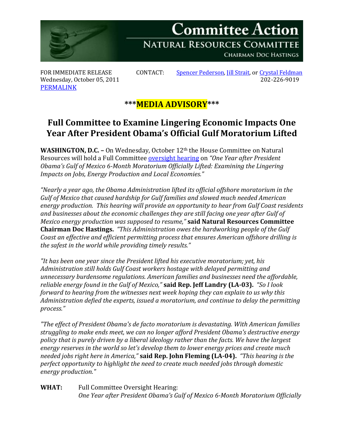

Wednesday, October 05, 2011 [PERMALINK](http://naturalresources.house.gov/News/DocumentSingle.aspx?DocumentID=263032)

FOR IMMEDIATE RELEASE CONTACT: [Spencer Pederson,](mailto:spencer.pederson@mail.house.gov) *Jill Strait*, or [Crystal Feldman](mailto:crystal.feldman@mail.house.gov) Wednesday, October 05, 2011

## **\*\*\*MEDIA ADVISORY\*\*\***

## **Full Committee to Examine Lingering Economic Impacts One Year After President Obama's Official Gulf Moratorium Lifted**

**WASHINGTON, D.C. -** On Wednesday, October 12<sup>th</sup> the House Committee on Natural Resources will hold a Full Committee [oversight hearing](http://naturalresources.house.gov/Calendar/EventSingle.aspx?EventID=263030) on *"One Year after President Obama's Gulf of Mexico 6-Month Moratorium Officially Lifted: Examining the Lingering Impacts on Jobs, Energy Production and Local Economies."*

*"Nearly a year ago, the Obama Administration lifted its official offshore moratorium in the Gulf of Mexico that caused hardship for Gulf families and slowed much needed American energy production. This hearing will provide an opportunity to hear from Gulf Coast residents and businesses about the economic challenges they are still facing one year after Gulf of Mexico energy production was supposed to resume,"* **said Natural Resources Committee Chairman Doc Hastings.** *"This Administration owes the hardworking people of the Gulf Coast an effective and efficient permitting process that ensures American offshore drilling is the safest in the world while providing timely results."* 

*"It has been one year since the President lifted his executive moratorium; yet, his Administration still holds Gulf Coast workers hostage with delayed permitting and unnecessary burdensome regulations. American families and businesses need the affordable, reliable energy found in the Gulf of Mexico,"* **said Rep. Jeff Landry (LA-03).** *"So I look forward to hearing from the witnesses next week hoping they can explain to us why this Administration defied the experts, issued a moratorium, and continue to delay the permitting process."*

*"The effect of President Obama's de facto moratorium is devastating. With American families struggling to make ends meet, we can no longer afford President Obama's destructive energy policy that is purely driven by a liberal ideology rather than the facts. We have the largest energy reserves in the world so let's develop them to lower energy prices and create much needed jobs right here in America,"* **said Rep. John Fleming (LA-04).** *"This hearing is the perfect opportunity to highlight the need to create much needed jobs through domestic energy production."*

**WHAT:** Full Committee Oversight Hearing: *One Year after President Obama's Gulf of Mexico 6-Month Moratorium Officially*